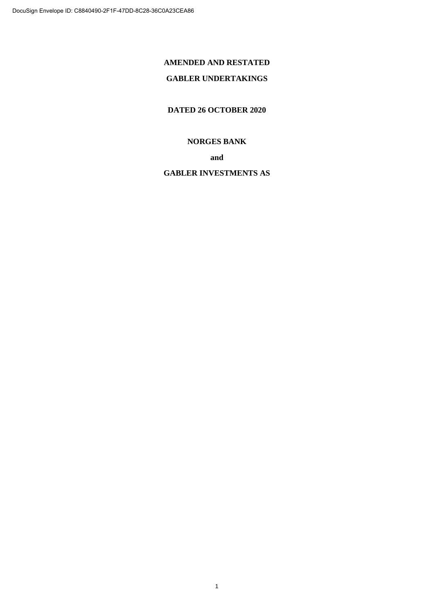## **AMENDED AND RESTATED**

## **GABLER UNDERTAKINGS**

**DATED 26 OCTOBER 2020**

## **NORGES BANK**

**and**

## **GABLER INVESTMENTS AS**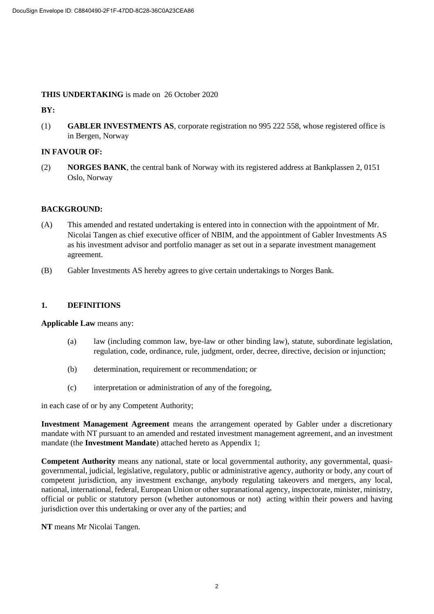## **THIS UNDERTAKING** is made on 26 October 2020

## **BY:**

(1) **GABLER INVESTMENTS AS**, corporate registration no 995 222 558, whose registered office is in Bergen, Norway

## **IN FAVOUR OF:**

(2) **NORGES BANK**, the central bank of Norway with its registered address at Bankplassen 2, 0151 Oslo, Norway

## **BACKGROUND:**

- (A) This amended and restated undertaking is entered into in connection with the appointment of Mr. Nicolai Tangen as chief executive officer of NBIM, and the appointment of Gabler Investments AS as his investment advisor and portfolio manager as set out in a separate investment management agreement.
- (B) Gabler Investments AS hereby agrees to give certain undertakings to Norges Bank.

## **1. DEFINITIONS**

**Applicable Law** means any:

- (a) law (including common law, bye-law or other binding law), statute, subordinate legislation, regulation, code, ordinance, rule, judgment, order, decree, directive, decision or injunction;
- (b) determination, requirement or recommendation; or
- (c) interpretation or administration of any of the foregoing,

in each case of or by any Competent Authority;

**Investment Management Agreement** means the arrangement operated by Gabler under a discretionary mandate with NT pursuant to an amended and restated investment management agreement, and an investment mandate (the **Investment Mandate**) attached hereto as Appendix 1;

**Competent Authority** means any national, state or local governmental authority, any governmental, quasigovernmental, judicial, legislative, regulatory, public or administrative agency, authority or body, any court of competent jurisdiction, any investment exchange, anybody regulating takeovers and mergers, any local, national, international, federal, European Union or other supranational agency, inspectorate, minister, ministry, official or public or statutory person (whether autonomous or not) acting within their powers and having jurisdiction over this undertaking or over any of the parties; and

**NT** means Mr Nicolai Tangen.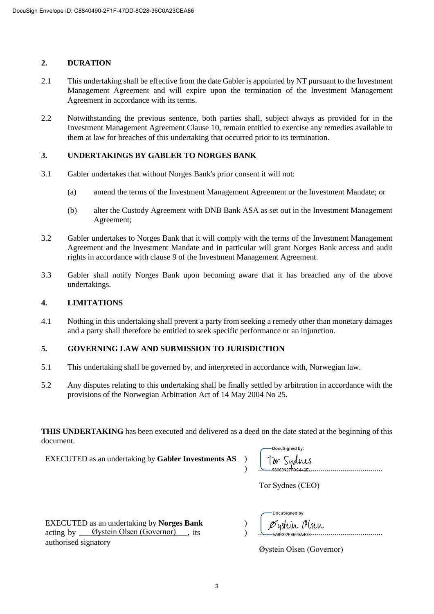## **2. DURATION**

- 2.1 This undertaking shall be effective from the date Gabler is appointed by NT pursuant to the Investment Management Agreement and will expire upon the termination of the Investment Management Agreement in accordance with its terms.
- 2.2 Notwithstanding the previous sentence, both parties shall, subject always as provided for in the Investment Management Agreement Clause 10, remain entitled to exercise any remedies available to them at law for breaches of this undertaking that occurred prior to its termination.

## **3. UNDERTAKINGS BY GABLER TO NORGES BANK**

- 3.1 Gabler undertakes that without Norges Bank's prior consent it will not:
	- (a) amend the terms of the Investment Management Agreement or the Investment Mandate; or
	- (b) alter the Custody Agreement with DNB Bank ASA as set out in the Investment Management Agreement;
- 3.2 Gabler undertakes to Norges Bank that it will comply with the terms of the Investment Management Agreement and the Investment Mandate and in particular will grant Norges Bank access and audit rights in accordance with clause 9 of the Investment Management Agreement.
- 3.3 Gabler shall notify Norges Bank upon becoming aware that it has breached any of the above undertakings.

## **4. LIMITATIONS**

4.1 Nothing in this undertaking shall prevent a party from seeking a remedy other than monetary damages and a party shall therefore be entitled to seek specific performance or an injunction.

## **5. GOVERNING LAW AND SUBMISSION TO JURISDICTION**

- 5.1 This undertaking shall be governed by, and interpreted in accordance with, Norwegian law.
- 5.2 Any disputes relating to this undertaking shall be finally settled by arbitration in accordance with the provisions of the Norwegian Arbitration Act of 14 May 2004 No 25.

**THIS UNDERTAKING** has been executed and delivered as a deed on the date stated at the beginning of this document.

EXECUTED as an undertaking by **Gabler Investments AS** )

| DocuSigned by:                    |
|-----------------------------------|
| Tor Sydnes<br>$-$ 56969927F9C442F |

Tor Sydnes (CEO)

EXECUTED as an undertaking by **Norges Bank** acting by <u>Oystein Olsen (Governor)</u>, its authorised signatory

| -DocuSigned by:                     |
|-------------------------------------|
| Øystein Olsen<br>$-546002F6529A4G8$ |

Øystein Olsen (Governor)

)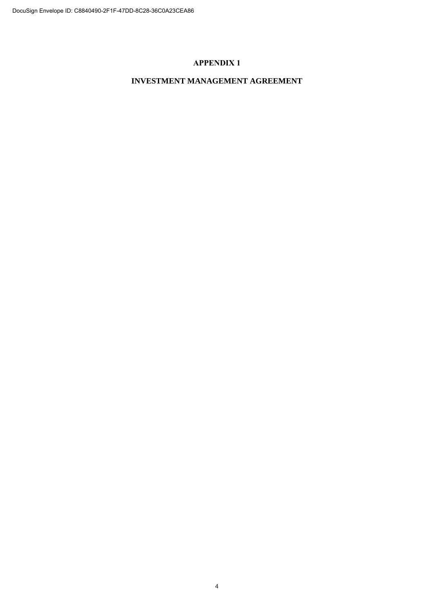## **APPENDIX 1**

## **INVESTMENT MANAGEMENT AGREEMENT**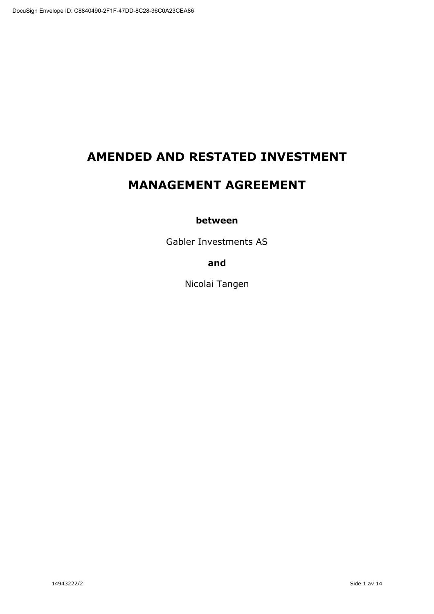# **AMENDED AND RESTATED INVESTMENT**

# **MANAGEMENT AGREEMENT**

## **between**

Gabler Investments AS

**and**

Nicolai Tangen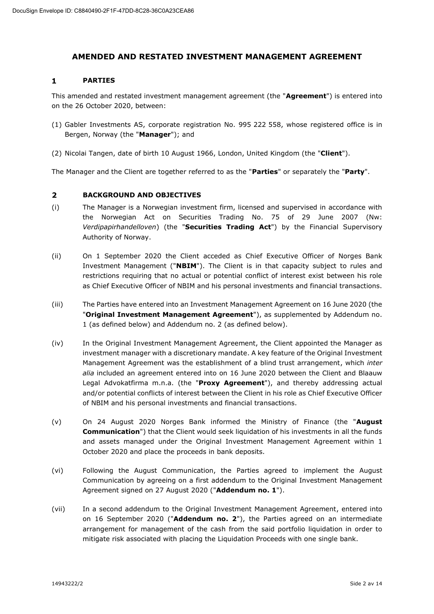## **AMENDED AND RESTATED INVESTMENT MANAGEMENT AGREEMENT**

#### $\mathbf{1}$ **PARTIES**

This amended and restated investment management agreement (the "**Agreement**") is entered into on the 26 October 2020, between:

- (1) Gabler Investments AS, corporate registration No. 995 222 558, whose registered office is in Bergen, Norway (the "**Manager**"); and
- (2) Nicolai Tangen, date of birth 10 August 1966, London, United Kingdom (the "**Client**").

The Manager and the Client are together referred to as the "**Parties**" or separately the "**Party**".

#### $\overline{2}$ **BACKGROUND AND OBJECTIVES**

- (i) The Manager is a Norwegian investment firm, licensed and supervised in accordance with the Norwegian Act on Securities Trading No. 75 of 29 June 2007 (Nw: *Verdipapirhandelloven*) (the "**Securities Trading Act**") by the Financial Supervisory Authority of Norway.
- (ii) On 1 September 2020 the Client acceded as Chief Executive Officer of Norges Bank Investment Management ("**NBIM**"). The Client is in that capacity subject to rules and restrictions requiring that no actual or potential conflict of interest exist between his role as Chief Executive Officer of NBIM and his personal investments and financial transactions.
- (iii) The Parties have entered into an Investment Management Agreement on 16 June 2020 (the "**Original Investment Management Agreement**"), as supplemented by Addendum no. 1 (as defined below) and Addendum no. 2 (as defined below).
- (iv) In the Original Investment Management Agreement, the Client appointed the Manager as investment manager with a discretionary mandate. A key feature of the Original Investment Management Agreement was the establishment of a blind trust arrangement, which *inter alia* included an agreement entered into on 16 June 2020 between the Client and Blaauw Legal Advokatfirma m.n.a. (the "**Proxy Agreement**"), and thereby addressing actual and/or potential conflicts of interest between the Client in his role as Chief Executive Officer of NBIM and his personal investments and financial transactions.
- (v) On 24 August 2020 Norges Bank informed the Ministry of Finance (the "**August Communication**") that the Client would seek liquidation of his investments in all the funds and assets managed under the Original Investment Management Agreement within 1 October 2020 and place the proceeds in bank deposits.
- (vi) Following the August Communication, the Parties agreed to implement the August Communication by agreeing on a first addendum to the Original Investment Management Agreement signed on 27 August 2020 ("**Addendum no. 1**").
- (vii) In a second addendum to the Original Investment Management Agreement, entered into on 16 September 2020 ("**Addendum no. 2**"), the Parties agreed on an intermediate arrangement for management of the cash from the said portfolio liquidation in order to mitigate risk associated with placing the Liquidation Proceeds with one single bank.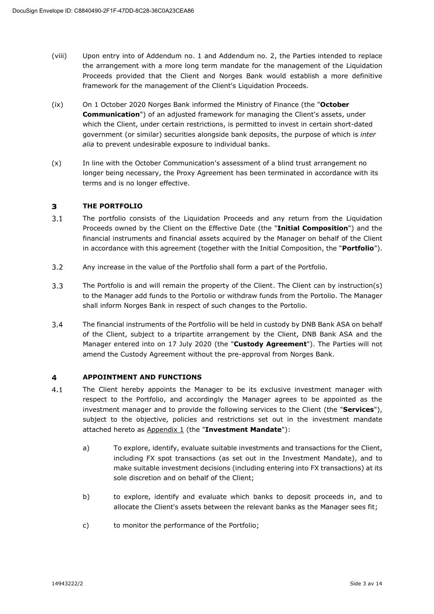- (viii) Upon entry into of Addendum no. 1 and Addendum no. 2, the Parties intended to replace the arrangement with a more long term mandate for the management of the Liquidation Proceeds provided that the Client and Norges Bank would establish a more definitive framework for the management of the Client's Liquidation Proceeds.
- (ix) On 1 October 2020 Norges Bank informed the Ministry of Finance (the "**October Communication**") of an adjusted framework for managing the Client's assets, under which the Client, under certain restrictions, is permitted to invest in certain short-dated government (or similar) securities alongside bank deposits, the purpose of which is *inter alia* to prevent undesirable exposure to individual banks.
- (x) In line with the October Communication's assessment of a blind trust arrangement no longer being necessary, the Proxy Agreement has been terminated in accordance with its terms and is no longer effective.

#### $\overline{\mathbf{3}}$ **THE PORTFOLIO**

- $3.1$ The portfolio consists of the Liquidation Proceeds and any return from the Liquidation Proceeds owned by the Client on the Effective Date (the "**Initial Composition**") and the financial instruments and financial assets acquired by the Manager on behalf of the Client in accordance with this agreement (together with the Initial Composition, the "**Portfolio**").
- $3.2$ Any increase in the value of the Portfolio shall form a part of the Portfolio.
- $3.3$ The Portfolio is and will remain the property of the Client. The Client can by instruction(s) to the Manager add funds to the Portolio or withdraw funds from the Portolio. The Manager shall inform Norges Bank in respect of such changes to the Portolio.
- $3.4$ The financial instruments of the Portfolio will be held in custody by DNB Bank ASA on behalf of the Client, subject to a tripartite arrangement by the Client, DNB Bank ASA and the Manager entered into on 17 July 2020 (the "**Custody Agreement**"). The Parties will not amend the Custody Agreement without the pre-approval from Norges Bank.

#### $\overline{\mathbf{4}}$ **APPOINTMENT AND FUNCTIONS**

- $4.1$ The Client hereby appoints the Manager to be its exclusive investment manager with respect to the Portfolio, and accordingly the Manager agrees to be appointed as the investment manager and to provide the following services to the Client (the "**Services**"), subject to the objective, policies and restrictions set out in the investment mandate attached hereto as Appendix 1 (the "**Investment Mandate**"):
	- a) To explore, identify, evaluate suitable investments and transactions for the Client, including FX spot transactions (as set out in the Investment Mandate), and to make suitable investment decisions (including entering into FX transactions) at its sole discretion and on behalf of the Client;
	- b) to explore, identify and evaluate which banks to deposit proceeds in, and to allocate the Client's assets between the relevant banks as the Manager sees fit;
	- c) to monitor the performance of the Portfolio;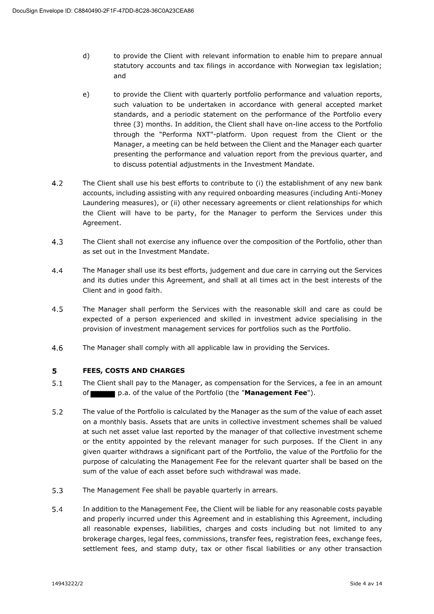- d) to provide the Client with relevant information to enable him to prepare annual statutory accounts and tax filings in accordance with Norwegian tax legislation; and
- e) to provide the Client with quarterly portfolio performance and valuation reports, such valuation to be undertaken in accordance with general accepted market standards, and a periodic statement on the performance of the Portfolio every three (3) months. In addition, the Client shall have on-line access to the Portfolio through the "Performa NXT"-platform. Upon request from the Client or the Manager, a meeting can be held between the Client and the Manager each quarter presenting the performance and valuation report from the previous quarter, and to discuss potential adjustments in the Investment Mandate.
- $4.2$ The Client shall use his best efforts to contribute to (i) the establishment of any new bank accounts, including assisting with any required onboarding measures (including Anti-Money Laundering measures), or (ii) other necessary agreements or client relationships for which the Client will have to be party, for the Manager to perform the Services under this Agreement.
- $4.3$ The Client shall not exercise any influence over the composition of the Portfolio, other than as set out in the Investment Mandate.
- $4.4$ The Manager shall use its best efforts, judgement and due care in carrying out the Services and its duties under this Agreement, and shall at all times act in the best interests of the Client and in good faith.
- 4.5 The Manager shall perform the Services with the reasonable skill and care as could be expected of a person experienced and skilled in investment advice specialising in the provision of investment management services for portfolios such as the Portfolio.
- 4.6 The Manager shall comply with all applicable law in providing the Services.

#### 5 **FEES, COSTS AND CHARGES**

- $5.1$ The Client shall pay to the Manager, as compensation for the Services, a fee in an amount of p.a. of the value of the Portfolio (the "**Management Fee**").
- $5.2$ The value of the Portfolio is calculated by the Manager as the sum of the value of each asset on a monthly basis. Assets that are units in collective investment schemes shall be valued at such net asset value last reported by the manager of that collective investment scheme or the entity appointed by the relevant manager for such purposes. If the Client in any given quarter withdraws a significant part of the Portfolio, the value of the Portfolio for the purpose of calculating the Management Fee for the relevant quarter shall be based on the sum of the value of each asset before such withdrawal was made.
- $5.3$ The Management Fee shall be payable quarterly in arrears.
- 5.4 In addition to the Management Fee, the Client will be liable for any reasonable costs payable and properly incurred under this Agreement and in establishing this Agreement, including all reasonable expenses, liabilities, charges and costs including but not limited to any brokerage charges, legal fees, commissions, transfer fees, registration fees, exchange fees, settlement fees, and stamp duty, tax or other fiscal liabilities or any other transaction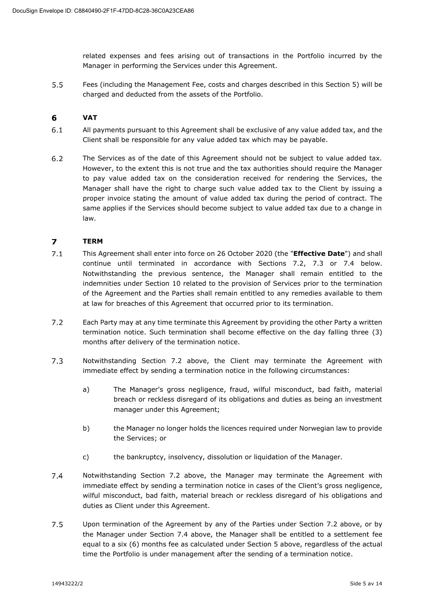related expenses and fees arising out of transactions in the Portfolio incurred by the Manager in performing the Services under this Agreement.

 $5.5$ Fees (including the Management Fee, costs and charges described in this Section 5) will be charged and deducted from the assets of the Portfolio.

#### 6 **VAT**

- $6.1$ All payments pursuant to this Agreement shall be exclusive of any value added tax, and the Client shall be responsible for any value added tax which may be payable.
- $6.2$ The Services as of the date of this Agreement should not be subject to value added tax. However, to the extent this is not true and the tax authorities should require the Manager to pay value added tax on the consideration received for rendering the Services, the Manager shall have the right to charge such value added tax to the Client by issuing a proper invoice stating the amount of value added tax during the period of contract. The same applies if the Services should become subject to value added tax due to a change in law.

#### $\overline{ }$ **TERM**

- $7.1$ This Agreement shall enter into force on 26 October 2020 (the "**Effective Date**") and shall continue until terminated in accordance with Sections 7.2, 7.3 or 7.4 below. Notwithstanding the previous sentence, the Manager shall remain entitled to the indemnities under Section 10 related to the provision of Services prior to the termination of the Agreement and the Parties shall remain entitled to any remedies available to them at law for breaches of this Agreement that occurred prior to its termination.
- $7.2$ Each Party may at any time terminate this Agreement by providing the other Party a written termination notice. Such termination shall become effective on the day falling three (3) months after delivery of the termination notice.
- $7.3$ Notwithstanding Section 7.2 above, the Client may terminate the Agreement with immediate effect by sending a termination notice in the following circumstances:
	- a) The Manager's gross negligence, fraud, wilful misconduct, bad faith, material breach or reckless disregard of its obligations and duties as being an investment manager under this Agreement;
	- b) the Manager no longer holds the licences required under Norwegian law to provide the Services; or
	- c) the bankruptcy, insolvency, dissolution or liquidation of the Manager.
- $7.4$ Notwithstanding Section 7.2 above, the Manager may terminate the Agreement with immediate effect by sending a termination notice in cases of the Client's gross negligence, wilful misconduct, bad faith, material breach or reckless disregard of his obligations and duties as Client under this Agreement.
- $7.5$ Upon termination of the Agreement by any of the Parties under Section 7.2 above, or by the Manager under Section 7.4 above, the Manager shall be entitled to a settlement fee equal to a six (6) months fee as calculated under Section 5 above, regardless of the actual time the Portfolio is under management after the sending of a termination notice.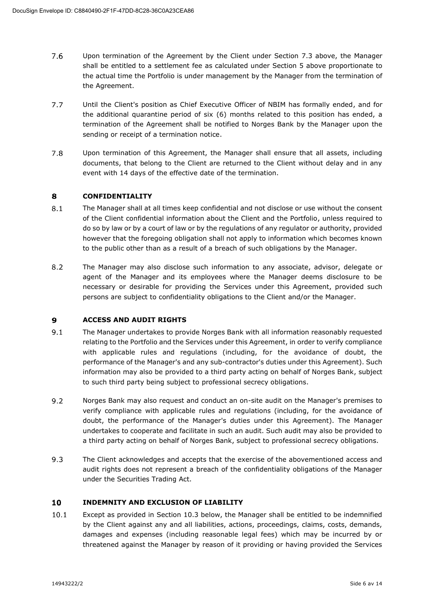- $7.6$ Upon termination of the Agreement by the Client under Section 7.3 above, the Manager shall be entitled to a settlement fee as calculated under Section 5 above proportionate to the actual time the Portfolio is under management by the Manager from the termination of the Agreement.
- $7.7$ Until the Client's position as Chief Executive Officer of NBIM has formally ended, and for the additional quarantine period of six (6) months related to this position has ended, a termination of the Agreement shall be notified to Norges Bank by the Manager upon the sending or receipt of a termination notice.
- 7.8 Upon termination of this Agreement, the Manager shall ensure that all assets, including documents, that belong to the Client are returned to the Client without delay and in any event with 14 days of the effective date of the termination.

#### 8 **CONFIDENTIALITY**

- $8.1$ The Manager shall at all times keep confidential and not disclose or use without the consent of the Client confidential information about the Client and the Portfolio, unless required to do so by law or by a court of law or by the regulations of any regulator or authority, provided however that the foregoing obligation shall not apply to information which becomes known to the public other than as a result of a breach of such obligations by the Manager.
- $8.2$ The Manager may also disclose such information to any associate, advisor, delegate or agent of the Manager and its employees where the Manager deems disclosure to be necessary or desirable for providing the Services under this Agreement, provided such persons are subject to confidentiality obligations to the Client and/or the Manager.

#### $\mathbf{9}$ **ACCESS AND AUDIT RIGHTS**

- $9.1$ The Manager undertakes to provide Norges Bank with all information reasonably requested relating to the Portfolio and the Services under this Agreement, in order to verify compliance with applicable rules and regulations (including, for the avoidance of doubt, the performance of the Manager's and any sub-contractor's duties under this Agreement). Such information may also be provided to a third party acting on behalf of Norges Bank, subject to such third party being subject to professional secrecy obligations.
- $9.2$ Norges Bank may also request and conduct an on-site audit on the Manager's premises to verify compliance with applicable rules and regulations (including, for the avoidance of doubt, the performance of the Manager's duties under this Agreement). The Manager undertakes to cooperate and facilitate in such an audit. Such audit may also be provided to a third party acting on behalf of Norges Bank, subject to professional secrecy obligations.
- 9.3 The Client acknowledges and accepts that the exercise of the abovementioned access and audit rights does not represent a breach of the confidentiality obligations of the Manager under the Securities Trading Act.

#### 10 **INDEMNITY AND EXCLUSION OF LIABILITY**

 $10.1$ Except as provided in Section 10.3 below, the Manager shall be entitled to be indemnified by the Client against any and all liabilities, actions, proceedings, claims, costs, demands, damages and expenses (including reasonable legal fees) which may be incurred by or threatened against the Manager by reason of it providing or having provided the Services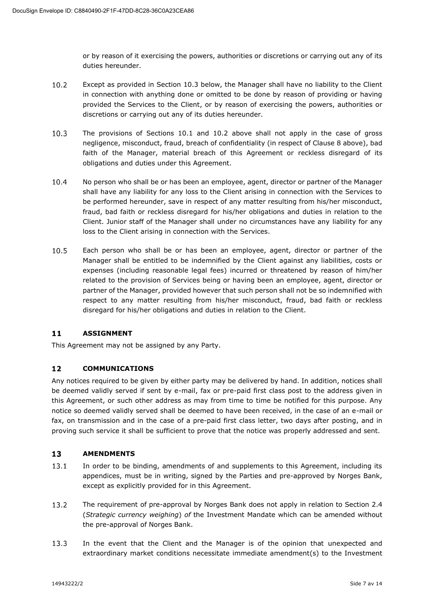or by reason of it exercising the powers, authorities or discretions or carrying out any of its duties hereunder.

- $10.2$ Except as provided in Section 10.3 below, the Manager shall have no liability to the Client in connection with anything done or omitted to be done by reason of providing or having provided the Services to the Client, or by reason of exercising the powers, authorities or discretions or carrying out any of its duties hereunder.
- $10.3$ The provisions of Sections 10.1 and 10.2 above shall not apply in the case of gross negligence, misconduct, fraud, breach of confidentiality (in respect of Clause 8 above), bad faith of the Manager, material breach of this Agreement or reckless disregard of its obligations and duties under this Agreement.
- $10.4$ No person who shall be or has been an employee, agent, director or partner of the Manager shall have any liability for any loss to the Client arising in connection with the Services to be performed hereunder, save in respect of any matter resulting from his/her misconduct, fraud, bad faith or reckless disregard for his/her obligations and duties in relation to the Client. Junior staff of the Manager shall under no circumstances have any liability for any loss to the Client arising in connection with the Services.
- $10.5$ Each person who shall be or has been an employee, agent, director or partner of the Manager shall be entitled to be indemnified by the Client against any liabilities, costs or expenses (including reasonable legal fees) incurred or threatened by reason of him/her related to the provision of Services being or having been an employee, agent, director or partner of the Manager, provided however that such person shall not be so indemnified with respect to any matter resulting from his/her misconduct, fraud, bad faith or reckless disregard for his/her obligations and duties in relation to the Client.

#### $11$ **ASSIGNMENT**

This Agreement may not be assigned by any Party.

#### $12$ **COMMUNICATIONS**

Any notices required to be given by either party may be delivered by hand. In addition, notices shall be deemed validly served if sent by e-mail, fax or pre-paid first class post to the address given in this Agreement, or such other address as may from time to time be notified for this purpose. Any notice so deemed validly served shall be deemed to have been received, in the case of an e-mail or fax, on transmission and in the case of a pre-paid first class letter, two days after posting, and in proving such service it shall be sufficient to prove that the notice was properly addressed and sent.

#### $13<sup>°</sup>$ **AMENDMENTS**

- 13.1 In order to be binding, amendments of and supplements to this Agreement, including its appendices, must be in writing, signed by the Parties and pre-approved by Norges Bank, except as explicitly provided for in this Agreement.
- $13.2$ The requirement of pre-approval by Norges Bank does not apply in relation to Section 2.4 (*Strategic currency weighing*) *of* the Investment Mandate which can be amended without the pre-approval of Norges Bank.
- $13.3$ In the event that the Client and the Manager is of the opinion that unexpected and extraordinary market conditions necessitate immediate amendment(s) to the Investment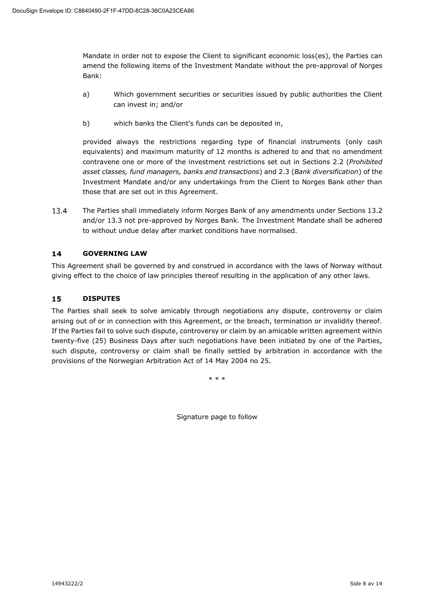Mandate in order not to expose the Client to significant economic loss(es), the Parties can amend the following items of the Investment Mandate without the pre-approval of Norges Bank:

- a) Which government securities or securities issued by public authorities the Client can invest in; and/or
- b) which banks the Client's funds can be deposited in,

provided always the restrictions regarding type of financial instruments (only cash equivalents) and maximum maturity of 12 months is adhered to and that no amendment contravene one or more of the investment restrictions set out in Sections 2.2 (*Prohibited asset classes, fund managers, banks and transactions*) and 2.3 (*Bank diversification*) of the Investment Mandate and/or any undertakings from the Client to Norges Bank other than those that are set out in this Agreement.

13.4 The Parties shall immediately inform Norges Bank of any amendments under Sections 13.2 and/or 13.3 not pre-approved by Norges Bank. The Investment Mandate shall be adhered to without undue delay after market conditions have normalised.

#### $14$ **GOVERNING LAW**

This Agreement shall be governed by and construed in accordance with the laws of Norway without giving effect to the choice of law principles thereof resulting in the application of any other laws.

#### 15 **DISPUTES**

The Parties shall seek to solve amicably through negotiations any dispute, controversy or claim arising out of or in connection with this Agreement, or the breach, termination or invalidity thereof. If the Parties fail to solve such dispute, controversy or claim by an amicable written agreement within twenty-five (25) Business Days after such negotiations have been initiated by one of the Parties, such dispute, controversy or claim shall be finally settled by arbitration in accordance with the provisions of the Norwegian Arbitration Act of 14 May 2004 no 25.

\* \* \*

Signature page to follow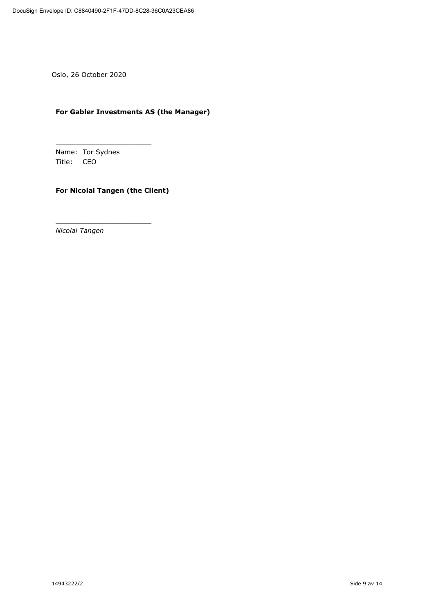Oslo, 26 October 2020

## **For Gabler Investments AS (the Manager)**

Name: Tor Sydnes Title: CEO

\_\_\_\_\_\_\_\_\_\_\_\_\_\_\_\_\_\_\_\_\_\_\_

\_\_\_\_\_\_\_\_\_\_\_\_\_\_\_\_\_\_\_\_\_\_\_

## **For Nicolai Tangen (the Client)**

*Nicolai Tangen*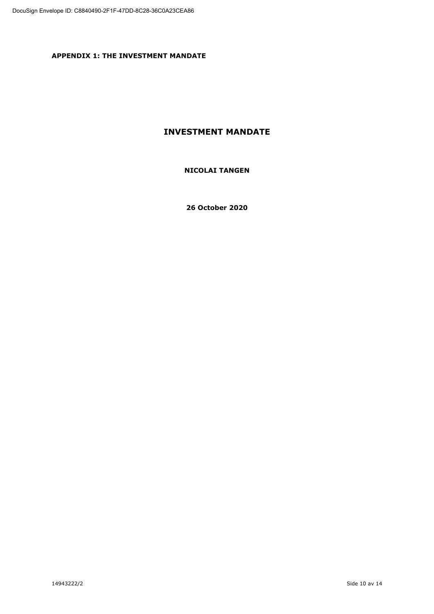**APPENDIX 1: THE INVESTMENT MANDATE**

## **INVESTMENT MANDATE**

## **NICOLAI TANGEN**

**26 October 2020**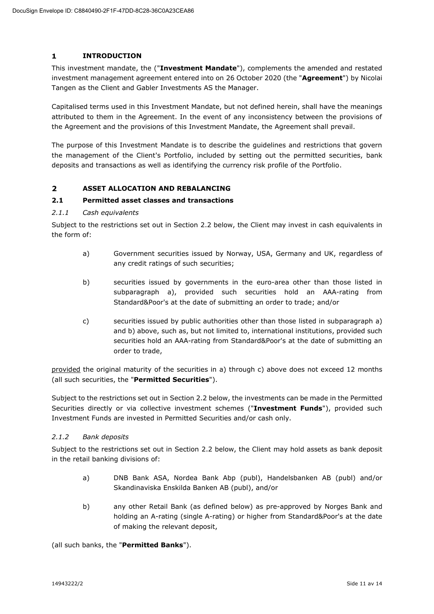#### $\mathbf{1}$ **INTRODUCTION**

This investment mandate, the ("**Investment Mandate**"), complements the amended and restated investment management agreement entered into on 26 October 2020 (the "**Agreement**") by Nicolai Tangen as the Client and Gabler Investments AS the Manager.

Capitalised terms used in this Investment Mandate, but not defined herein, shall have the meanings attributed to them in the Agreement. In the event of any inconsistency between the provisions of the Agreement and the provisions of this Investment Mandate, the Agreement shall prevail.

The purpose of this Investment Mandate is to describe the guidelines and restrictions that govern the management of the Client's Portfolio, included by setting out the permitted securities, bank deposits and transactions as well as identifying the currency risk profile of the Portfolio.

#### $\overline{2}$ **ASSET ALLOCATION AND REBALANCING**

### **2.1 Permitted asset classes and transactions**

### *2.1.1 Cash equivalents*

Subject to the restrictions set out in Section 2.2 below, the Client may invest in cash equivalents in the form of:

- a) Government securities issued by Norway, USA, Germany and UK, regardless of any credit ratings of such securities;
- b) securities issued by governments in the euro-area other than those listed in subparagraph a), provided such securities hold an AAA-rating from Standard&Poor's at the date of submitting an order to trade; and/or
- c) securities issued by public authorities other than those listed in subparagraph a) and b) above, such as, but not limited to, international institutions, provided such securities hold an AAA-rating from Standard&Poor's at the date of submitting an order to trade,

provided the original maturity of the securities in a) through c) above does not exceed 12 months (all such securities, the "**Permitted Securities**").

Subject to the restrictions set out in Section 2.2 below, the investments can be made in the Permitted Securities directly or via collective investment schemes ("**Investment Funds**"), provided such Investment Funds are invested in Permitted Securities and/or cash only.

### *2.1.2 Bank deposits*

Subject to the restrictions set out in Section 2.2 below, the Client may hold assets as bank deposit in the retail banking divisions of:

- a) DNB Bank ASA, Nordea Bank Abp (publ), Handelsbanken AB (publ) and/or Skandinaviska Enskilda Banken AB (publ), and/or
- b) any other Retail Bank (as defined below) as pre-approved by Norges Bank and holding an A-rating (single A-rating) or higher from Standard&Poor's at the date of making the relevant deposit,

(all such banks, the "**Permitted Banks**").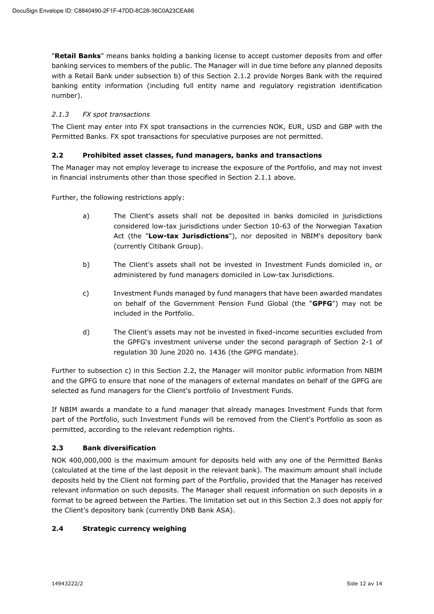"**Retail Banks**" means banks holding a banking license to accept customer deposits from and offer banking services to members of the public. The Manager will in due time before any planned deposits with a Retail Bank under subsection b) of this Section 2.1.2 provide Norges Bank with the required banking entity information (including full entity name and regulatory registration identification number).

## *2.1.3 FX spot transactions*

The Client may enter into FX spot transactions in the currencies NOK, EUR, USD and GBP with the Permitted Banks. FX spot transactions for speculative purposes are not permitted.

## **2.2 Prohibited asset classes, fund managers, banks and transactions**

The Manager may not employ leverage to increase the exposure of the Portfolio, and may not invest in financial instruments other than those specified in Section 2.1.1 above.

Further, the following restrictions apply:

- a) The Client's assets shall not be deposited in banks domiciled in jurisdictions considered low-tax jurisdictions under Section 10-63 of the Norwegian Taxation Act (the "**Low-tax Jurisdictions**"), nor deposited in NBIM's depository bank (currently Citibank Group).
- b) The Client's assets shall not be invested in Investment Funds domiciled in, or administered by fund managers domiciled in Low-tax Jurisdictions.
- c) Investment Funds managed by fund managers that have been awarded mandates on behalf of the Government Pension Fund Global (the "**GPFG**") may not be included in the Portfolio.
- d) The Client's assets may not be invested in fixed-income securities excluded from the GPFG's investment universe under the second paragraph of Section 2-1 of regulation 30 June 2020 no. 1436 (the GPFG mandate).

Further to subsection c) in this Section 2.2, the Manager will monitor public information from NBIM and the GPFG to ensure that none of the managers of external mandates on behalf of the GPFG are selected as fund managers for the Client's portfolio of Investment Funds.

If NBIM awards a mandate to a fund manager that already manages Investment Funds that form part of the Portfolio, such Investment Funds will be removed from the Client's Portfolio as soon as permitted, according to the relevant redemption rights.

## **2.3 Bank diversification**

NOK 400,000,000 is the maximum amount for deposits held with any one of the Permitted Banks (calculated at the time of the last deposit in the relevant bank). The maximum amount shall include deposits held by the Client not forming part of the Portfolio, provided that the Manager has received relevant information on such deposits. The Manager shall request information on such deposits in a format to be agreed between the Parties. The limitation set out in this Section 2.3 does not apply for the Client's depository bank (currently DNB Bank ASA).

## **2.4 Strategic currency weighing**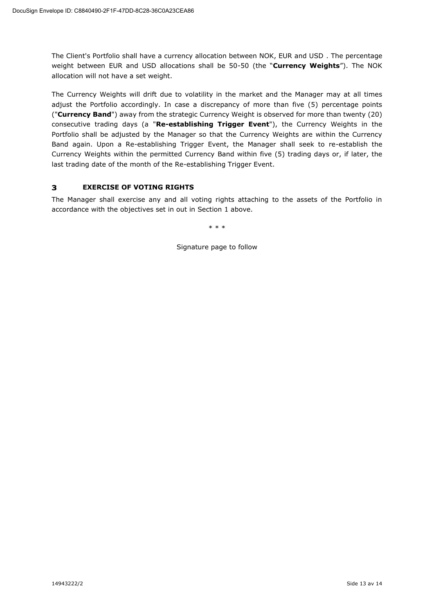The Client's Portfolio shall have a currency allocation between NOK, EUR and USD . The percentage weight between EUR and USD allocations shall be 50-50 (the "**Currency Weights**"). The NOK allocation will not have a set weight.

The Currency Weights will drift due to volatility in the market and the Manager may at all times adjust the Portfolio accordingly. In case a discrepancy of more than five (5) percentage points ("**Currency Band**") away from the strategic Currency Weight is observed for more than twenty (20) consecutive trading days (a "**Re-establishing Trigger Event**"), the Currency Weights in the Portfolio shall be adjusted by the Manager so that the Currency Weights are within the Currency Band again. Upon a Re-establishing Trigger Event, the Manager shall seek to re-establish the Currency Weights within the permitted Currency Band within five (5) trading days or, if later, the last trading date of the month of the Re-establishing Trigger Event.

#### $\overline{\mathbf{3}}$ **EXERCISE OF VOTING RIGHTS**

The Manager shall exercise any and all voting rights attaching to the assets of the Portfolio in accordance with the objectives set in out in Section 1 above.

\* \* \*

Signature page to follow